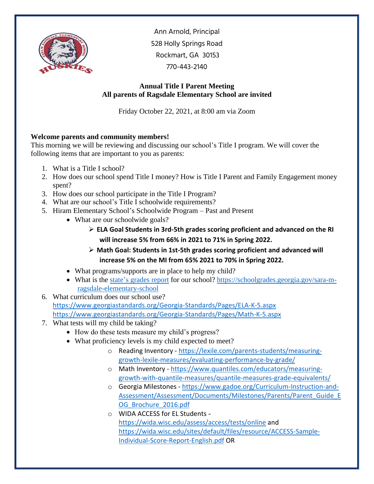

Ann Arnold, Principal 528 Holly Springs Road Rockmart, GA 30153 770-443-2140

## **Annual Title I Parent Meeting All parents of Ragsdale Elementary School are invited**

Friday October 22, 2021, at 8:00 am via Zoom

## **Welcome parents and community members!**

This morning we will be reviewing and discussing our school's Title I program. We will cover the following items that are important to you as parents:

- 1. What is a Title I school?
- 2. How does our school spend Title I money? How is Title I Parent and Family Engagement money spent?
- 3. How does our school participate in the Title I Program?
- 4. What are our school's Title I schoolwide requirements?
- 5. Hiram Elementary School's Schoolwide Program Past and Present
	- What are our schoolwide goals?
		- ➢ **ELA Goal Students in 3rd-5th grades scoring proficient and advanced on the RI will increase 5% from 66% in 2021 to 71% in Spring 2022.**
		- ➢ **Math Goal: Students in 1st-5th grades scoring proficient and advanced will increase 5% on the MI from 65% 2021 to 70% in Spring 2022.**
		- What programs/supports are in place to help my child?
	- What is the [state's grades report](https://schoolgrades.georgia.gov/) for our school? [https://schoolgrades.georgia.gov/sara-m](https://schoolgrades.georgia.gov/sara-m-ragsdale-elementary-school)[ragsdale-elementary-school](https://schoolgrades.georgia.gov/sara-m-ragsdale-elementary-school)
- 6. What curriculum does our school use? <https://www.georgiastandards.org/Georgia-Standards/Pages/ELA-K-5.aspx> <https://www.georgiastandards.org/Georgia-Standards/Pages/Math-K-5.aspx>
- 7. What tests will my child be taking?
	- How do these tests measure my child's progress?
	- What proficiency levels is my child expected to meet?
		- o Reading Inventory [https://lexile.com/parents-students/measuring](https://lexile.com/parents-students/measuring-growth-lexile-measures/evaluating-performance-by-grade/)[growth-lexile-measures/evaluating-performance-by-grade/](https://lexile.com/parents-students/measuring-growth-lexile-measures/evaluating-performance-by-grade/)
		- o Math Inventory [https://www.quantiles.com/educators/measuring](https://www.quantiles.com/educators/measuring-growth-with-quantile-measures/quantile-measures-grade-equivalents/)[growth-with-quantile-measures/quantile-measures-grade-equivalents/](https://www.quantiles.com/educators/measuring-growth-with-quantile-measures/quantile-measures-grade-equivalents/)
		- o Georgia Milestones [https://www.gadoe.org/Curriculum-Instruction-and-](https://www.gadoe.org/Curriculum-Instruction-and-Assessment/Assessment/Documents/Milestones/Parents/Parent_Guide_EOG_Brochure_2016.pdf)Assessment/Assessment/Documents/Milestones/Parents/Parent Guide\_E [OG\\_Brochure\\_2016.pdf](https://www.gadoe.org/Curriculum-Instruction-and-Assessment/Assessment/Documents/Milestones/Parents/Parent_Guide_EOG_Brochure_2016.pdf)
		- o WIDA ACCESS for EL Students <https://wida.wisc.edu/assess/access/tests/online> and [https://wida.wisc.edu/sites/default/files/resource/ACCESS-Sample-](https://wida.wisc.edu/sites/default/files/resource/ACCESS-Sample-Individual-Score-Report-English.pdf)[Individual-Score-Report-English.pdf](https://wida.wisc.edu/sites/default/files/resource/ACCESS-Sample-Individual-Score-Report-English.pdf) OR